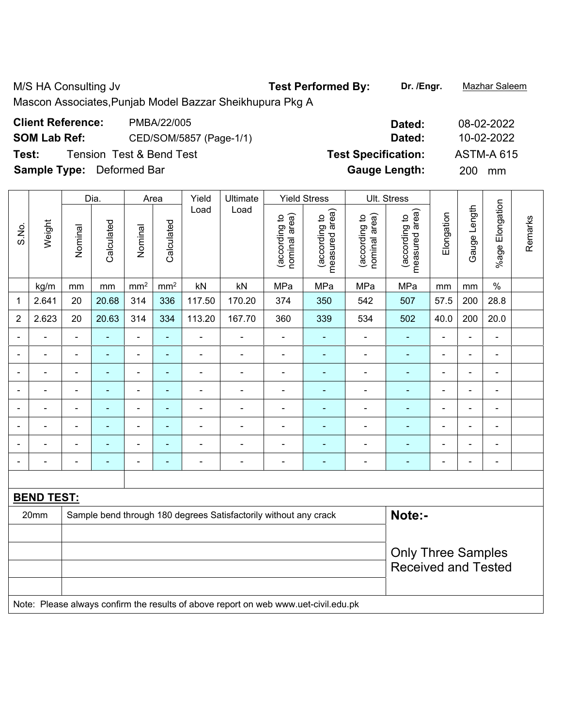M/S HA Consulting Jv **Test Performed By: Dr. /Engr.** Mazhar Saleem

Mascon Associates,Punjab Model Bazzar Sheikhupura Pkg A

| <b>Client Reference:</b>         | PMBA/22/005              | Dated:                     | 08-02-2022        |
|----------------------------------|--------------------------|----------------------------|-------------------|
| <b>SOM Lab Ref:</b>              | CED/SOM/5857 (Page-1/1)  | Dated:                     | 10-02-2022        |
| Test:                            | Tension Test & Bend Test | <b>Test Specification:</b> | <b>ASTM-A 615</b> |
| <b>Sample Type:</b> Deformed Bar |                          | <b>Gauge Length:</b>       | 200 mm            |

Dia. | Area | Yield | Ultimate | Yield Stress | Ult. Stress %age Elongation **%age Elongation** Gauge Length Load Load Gauge Length (according to<br>measured area) measured area) measured area) (according to<br>nominal area) (according to<br>nominal area) (according to<br>measured area) nominal area) nominal area) Elongation Elongation (according to (according to (according to (according to Remarks Remarks **Calculated Calculated** Weight Calculated Calculated S.No. Nominal Nominal Nominal Nominal  $\vert$  kg/m  $\vert$  mm  $\vert$  mm $^2$   $\vert$  mm $^2$   $\vert$  kN  $\vert$  kN  $\vert$  MPa  $\vert$  MPa  $\vert$  MPa  $\vert$  mm  $\vert$  mm  $\vert$  % 1 | 2.641 | 20 | 20.68 | 314 | 336 | 117.50 | 170.20 | 374 | 350 | 542 | 507 | 57.5 | 200 | 28.8 2 | 2.623 | 20 | 20.63 | 314 | 334 | 113.20 | 167.70 | 360 | 339 | 534 | 502 | 40.0 | 200 | 20.0 - - - - - - - - - - - - - - - - - - - - - - - - - - - - - - - - - - - - - - - - - - - - - - - - - - - - - - - - - - - - - - - - - - - - - - - - - - - - - - - - - - - - - - - - - - - - - - - - - - - - - - - - - - - - - - - - - - - - - - - - **BEND TEST:**  20mm Sample bend through 180 degrees Satisfactorily without any crack **Note:- Note:** Only Three Samples Received and Tested Note: Please always confirm the results of above report on web www.uet-civil.edu.pk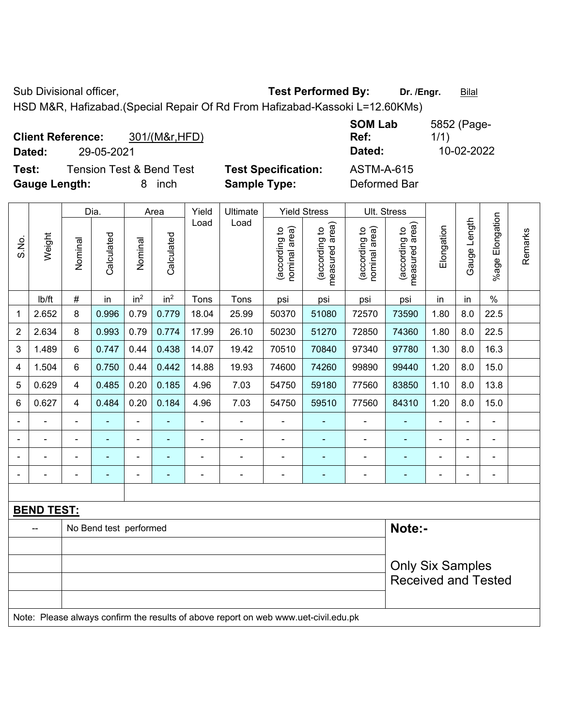Sub Divisional officer, **Test Performed By:** Dr. /Engr. **Bilal** 

HSD M&R, Hafizabad.(Special Repair Of Rd From Hafizabad-Kassoki L=12.60KMs)

| <b>Client Reference:</b> |            | 301/(M&r, HFD)                      |                            | <b>SUM LAD</b><br>Ref: | 5052 (Page-<br>1/1) |
|--------------------------|------------|-------------------------------------|----------------------------|------------------------|---------------------|
| Dated:                   | 29-05-2021 |                                     |                            | Dated:                 | 10-02-2022          |
| Test:                    |            | <b>Tension Test &amp; Bend Test</b> | <b>Test Specification:</b> | <b>ASTM-A-615</b>      |                     |
| <b>Gauge Length:</b>     |            | inch                                | <b>Sample Type:</b>        | Deformed Bar           |                     |

|                |                   |                                                                                     | Dia.                   |                          | Area            | Yield | Ultimate |                                | <b>Yield Stress</b>             |                                | Ult. Stress                     |                |                |                           |         |
|----------------|-------------------|-------------------------------------------------------------------------------------|------------------------|--------------------------|-----------------|-------|----------|--------------------------------|---------------------------------|--------------------------------|---------------------------------|----------------|----------------|---------------------------|---------|
| S.No.          | Weight            | Nominal                                                                             | Calculated             | Nominal                  | Calculated      | Load  | Load     | nominal area)<br>(according to | (according to<br>measured area) | nominal area)<br>(according to | (according to<br>measured area) | Elongation     | Gauge Length   | Elongation<br>$%$ age $ $ | Remarks |
|                | lb/ft             | $\#$                                                                                | in                     | in <sup>2</sup>          | in <sup>2</sup> | Tons  | Tons     | psi                            | psi                             | psi                            | psi                             | in             | in             | $\%$                      |         |
| 1              | 2.652             | 8                                                                                   | 0.996                  | 0.79                     | 0.779           | 18.04 | 25.99    | 50370                          | 51080                           | 72570                          | 73590                           | 1.80           | 8.0            | 22.5                      |         |
| 2              | 2.634             | 8                                                                                   | 0.993                  | 0.79                     | 0.774           | 17.99 | 26.10    | 50230                          | 51270                           | 72850                          | 74360                           | 1.80           | 8.0            | 22.5                      |         |
| 3              | 1.489             | 6                                                                                   | 0.747                  | 0.44                     | 0.438           | 14.07 | 19.42    | 70510                          | 70840                           | 97340                          | 97780                           | 1.30           | 8.0            | 16.3                      |         |
| 4              | 1.504             | 6                                                                                   | 0.750                  | 0.44                     | 0.442           | 14.88 | 19.93    | 74600                          | 74260                           | 99890                          | 99440                           | 1.20           | 8.0            | 15.0                      |         |
| 5              | 0.629             | $\overline{4}$                                                                      | 0.485                  | 0.20                     | 0.185           | 4.96  | 7.03     | 54750                          | 59180                           | 77560                          | 83850                           | 1.10           | 8.0            | 13.8                      |         |
| 6              | 0.627             | 4                                                                                   | 0.484                  | 0.20                     | 0.184           | 4.96  | 7.03     | 54750                          | 59510                           | 77560                          | 84310                           | 1.20           | 8.0            | 15.0                      |         |
|                |                   | $\blacksquare$                                                                      |                        | $\blacksquare$           |                 |       |          | $\blacksquare$                 | ä,                              | $\blacksquare$                 |                                 |                |                | ÷                         |         |
|                |                   |                                                                                     |                        | $\blacksquare$           |                 |       |          |                                |                                 |                                |                                 |                | $\blacksquare$ | L,                        |         |
|                |                   |                                                                                     |                        | $\overline{\phantom{0}}$ |                 |       |          |                                |                                 | $\blacksquare$                 |                                 |                | $\blacksquare$ | $\blacksquare$            |         |
| $\overline{a}$ |                   | $\overline{a}$                                                                      |                        | $\blacksquare$           | ٠               | ÷     | ÷        | $\overline{\phantom{a}}$       | ۰                               | $\blacksquare$                 | ۰                               | $\blacksquare$ | $\blacksquare$ | $\blacksquare$            |         |
|                |                   |                                                                                     |                        |                          |                 |       |          |                                |                                 |                                |                                 |                |                |                           |         |
|                | <b>BEND TEST:</b> |                                                                                     |                        |                          |                 |       |          |                                |                                 |                                |                                 |                |                |                           |         |
|                | --                |                                                                                     | No Bend test performed |                          |                 |       |          |                                |                                 |                                | Note:-                          |                |                |                           |         |
|                |                   |                                                                                     |                        |                          |                 |       |          |                                |                                 |                                |                                 |                |                |                           |         |
|                |                   |                                                                                     |                        |                          |                 |       |          |                                |                                 |                                | <b>Only Six Samples</b>         |                |                |                           |         |
|                |                   |                                                                                     |                        |                          |                 |       |          |                                |                                 |                                | <b>Received and Tested</b>      |                |                |                           |         |
|                |                   | Note: Please always confirm the results of above report on web www.uet-civil.edu.pk |                        |                          |                 |       |          |                                |                                 |                                |                                 |                |                |                           |         |

**SOM Lab**  5852 (Page-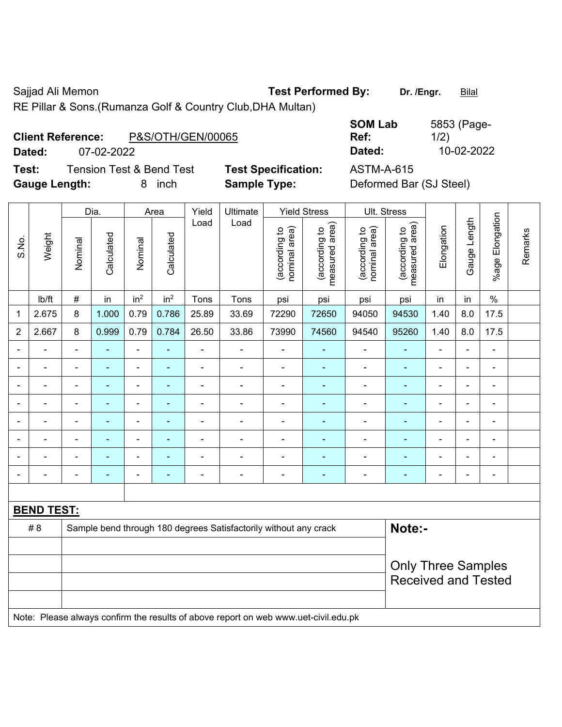Sajjad Ali Memon **Test Performed By:** Dr. /Engr. **Bilal** 

RE Pillar & Sons.(Rumanza Golf & Country Club,DHA Multan)

## **Client Reference:** P&S/OTH/GEN/00065

**Test:** Tension Test & Bend Test **Test Specification:** ASTM-A-615 **Gauge Length:** 8 inch **Sample Type:** Deformed Bar (SJ Steel)

**SOM Lab Ref:**  5853 (Page-1/2) **Dated:** 07-02-2022 **Dated:** 10-02-2022

|                |                   |                          | Dia.<br>Ultimate<br><b>Yield Stress</b><br>Ult. Stress<br>Area<br>Yield |                 |                 |                |                                                                                     |                                |                                 |                                |                                 |                |                |                          |         |
|----------------|-------------------|--------------------------|-------------------------------------------------------------------------|-----------------|-----------------|----------------|-------------------------------------------------------------------------------------|--------------------------------|---------------------------------|--------------------------------|---------------------------------|----------------|----------------|--------------------------|---------|
| S.No.          | Weight            | Nominal                  | Calculated                                                              | Nominal         | Calculated      | Load           | Load                                                                                | nominal area)<br>(according to | (according to<br>measured area) | nominal area)<br>(according to | (according to<br>measured area) | Elongation     | Gauge Length   | %age Elongation          | Remarks |
|                | lb/ft             | #                        | in                                                                      | in <sup>2</sup> | in <sup>2</sup> | Tons           | Tons                                                                                | psi                            | psi                             | psi                            | psi                             | in             | in             | $\%$                     |         |
| 1              | 2.675             | 8                        | 1.000                                                                   | 0.79            | 0.786           | 25.89          | 33.69                                                                               | 72290                          | 72650                           | 94050                          | 94530                           | 1.40           | 8.0            | 17.5                     |         |
| $\overline{2}$ | 2.667             | 8                        | 0.999                                                                   | 0.79            | 0.784           | 26.50          | 33.86                                                                               | 73990                          | 74560                           | 94540                          | 95260                           | 1.40           | 8.0            | 17.5                     |         |
|                |                   | $\blacksquare$           | ä,                                                                      | $\blacksquare$  | ÷               | $\blacksquare$ | ÷,                                                                                  | $\blacksquare$                 | $\blacksquare$                  | $\blacksquare$                 | $\blacksquare$                  | $\blacksquare$ | ÷,             | ä,                       |         |
|                |                   |                          |                                                                         | $\blacksquare$  |                 |                |                                                                                     | $\blacksquare$                 | $\blacksquare$                  | $\blacksquare$                 | $\blacksquare$                  |                |                | $\blacksquare$           |         |
|                |                   | $\overline{\phantom{0}}$ |                                                                         | $\blacksquare$  |                 |                |                                                                                     | $\overline{\phantom{0}}$       |                                 |                                |                                 |                |                | $\blacksquare$           |         |
|                |                   | $\blacksquare$           | $\overline{\phantom{0}}$                                                | $\overline{a}$  |                 | $\blacksquare$ | $\blacksquare$                                                                      | $\overline{\phantom{0}}$       | $\overline{\phantom{0}}$        | $\overline{\phantom{0}}$       | $\blacksquare$                  | ۰              | $\blacksquare$ | $\overline{a}$           |         |
|                |                   | $\blacksquare$           | $\blacksquare$                                                          | ÷               | ۰               | $\blacksquare$ | $\blacksquare$                                                                      | $\blacksquare$                 | $\blacksquare$                  | $\blacksquare$                 | $\blacksquare$                  | ۰              | $\blacksquare$ | $\overline{\phantom{a}}$ |         |
|                |                   | $\blacksquare$           | $\blacksquare$                                                          | ä,              | ۰               |                |                                                                                     | $\blacksquare$                 | $\blacksquare$                  | $\blacksquare$                 | ٠                               | $\blacksquare$ | $\blacksquare$ | ä,                       |         |
|                |                   |                          |                                                                         | $\blacksquare$  |                 |                |                                                                                     | $\blacksquare$                 | $\blacksquare$                  | $\blacksquare$                 | $\blacksquare$                  |                |                | ä,                       |         |
|                |                   | $\overline{\phantom{0}}$ |                                                                         | $\blacksquare$  | ÷               |                |                                                                                     | $\blacksquare$                 | $\blacksquare$                  |                                |                                 | ۰              | $\blacksquare$ | $\blacksquare$           |         |
|                |                   |                          |                                                                         |                 |                 |                |                                                                                     |                                |                                 |                                |                                 |                |                |                          |         |
|                | <b>BEND TEST:</b> |                          |                                                                         |                 |                 |                |                                                                                     |                                |                                 |                                |                                 |                |                |                          |         |
|                | #8                |                          |                                                                         |                 |                 |                | Sample bend through 180 degrees Satisfactorily without any crack                    |                                |                                 |                                | Note:-                          |                |                |                          |         |
|                |                   |                          |                                                                         |                 |                 |                |                                                                                     |                                |                                 |                                |                                 |                |                |                          |         |
|                |                   |                          |                                                                         |                 |                 |                |                                                                                     |                                |                                 |                                | <b>Only Three Samples</b>       |                |                |                          |         |
|                |                   |                          |                                                                         |                 |                 |                |                                                                                     |                                |                                 |                                | <b>Received and Tested</b>      |                |                |                          |         |
|                |                   |                          |                                                                         |                 |                 |                |                                                                                     |                                |                                 |                                |                                 |                |                |                          |         |
|                |                   |                          |                                                                         |                 |                 |                | Note: Please always confirm the results of above report on web www.uet-civil.edu.pk |                                |                                 |                                |                                 |                |                |                          |         |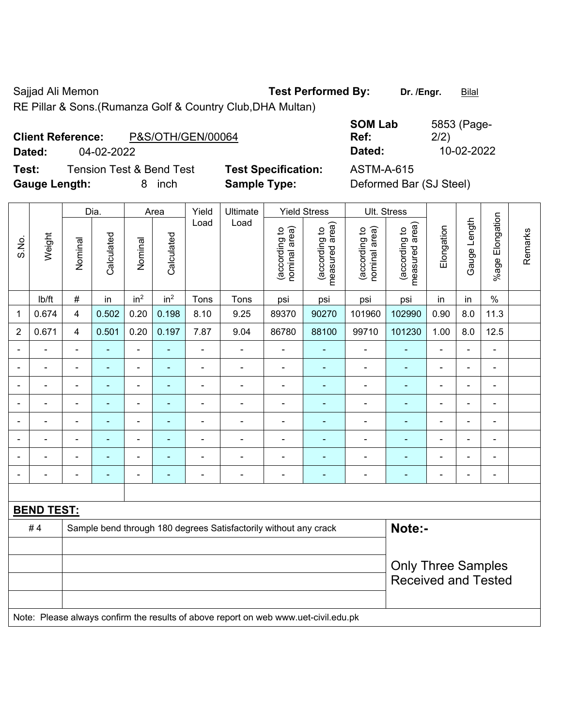Sajjad Ali Memon **Test Performed By:** Dr. /Engr. **Bilal** 

RE Pillar & Sons.(Rumanza Golf & Country Club,DHA Multan)

| <b>Client Reference:</b> |            | P&S/OTH/GEN/00064 |
|--------------------------|------------|-------------------|
| Dated:                   | 04-02-2022 |                   |

**Test:** Tension Test & Bend Test **Test Specification:** ASTM-A-615 **Gauge Length:** 8 inch **Sample Type:** Deformed Bar (SJ Steel)

**SOM Lab Ref:**  5853 (Page-2/2) **Dated:** 04-02-2022 **Dated:** 10-02-2022

|                |                   | Dia.<br>Area   |                | Yield<br>Ultimate        |                          | <b>Yield Stress</b> |                                                                                     |                                | Ult. Stress                     |                                |                                 |                |                          |                          |         |
|----------------|-------------------|----------------|----------------|--------------------------|--------------------------|---------------------|-------------------------------------------------------------------------------------|--------------------------------|---------------------------------|--------------------------------|---------------------------------|----------------|--------------------------|--------------------------|---------|
| S.No.          | Weight            | Nominal        | Calculated     | Nominal                  | Calculated               | Load                | Load                                                                                | (according to<br>nominal area) | (according to<br>measured area) | (according to<br>nominal area) | (according to<br>measured area) | Elongation     | Gauge Length             | Elongation<br>$%$ age    | Remarks |
|                | Ib/ft             | $\#$           | in             | in <sup>2</sup>          | in <sup>2</sup>          | Tons                | Tons                                                                                | psi                            | psi                             | psi                            | psi                             | in             | in                       | $\%$                     |         |
| 1              | 0.674             | $\overline{4}$ | 0.502          | 0.20                     | 0.198                    | 8.10                | 9.25                                                                                | 89370                          | 90270                           | 101960                         | 102990                          | 0.90           | 8.0                      | 11.3                     |         |
| $\overline{2}$ | 0.671             | $\overline{4}$ | 0.501          | 0.20                     | 0.197                    | 7.87                | 9.04                                                                                | 86780                          | 88100                           | 99710                          | 101230                          | 1.00           | 8.0                      | 12.5                     |         |
| $\blacksquare$ | $\blacksquare$    | $\blacksquare$ | $\blacksquare$ | $\blacksquare$           | $\blacksquare$           | $\blacksquare$      | $\blacksquare$                                                                      | $\overline{\phantom{a}}$       | $\blacksquare$                  | $\blacksquare$                 | ÷                               | $\blacksquare$ | $\blacksquare$           | $\blacksquare$           |         |
| $\blacksquare$ | $\blacksquare$    | $\blacksquare$ | $\blacksquare$ | $\blacksquare$           | $\blacksquare$           | ä,                  | $\overline{\phantom{a}}$                                                            | $\blacksquare$                 | $\blacksquare$                  | $\qquad \qquad \blacksquare$   | ÷,                              | $\blacksquare$ | $\blacksquare$           | $\blacksquare$           |         |
|                | $\blacksquare$    | $\blacksquare$ | $\blacksquare$ | $\blacksquare$           | $\blacksquare$           | ä,                  | $\blacksquare$                                                                      | $\blacksquare$                 | $\blacksquare$                  | $\overline{\phantom{a}}$       | ä,                              | $\blacksquare$ | $\overline{\phantom{a}}$ | $\blacksquare$           |         |
|                | $\blacksquare$    | $\blacksquare$ | $\blacksquare$ | $\blacksquare$           | $\overline{\phantom{a}}$ | $\blacksquare$      | $\blacksquare$                                                                      | $\blacksquare$                 | $\blacksquare$                  |                                | ÷                               | $\blacksquare$ | $\blacksquare$           | $\blacksquare$           |         |
|                |                   |                | $\blacksquare$ | $\blacksquare$           |                          |                     | $\blacksquare$                                                                      | $\blacksquare$                 | $\blacksquare$                  | $\blacksquare$                 | $\blacksquare$                  |                |                          | $\overline{\phantom{a}}$ |         |
|                |                   |                |                | ÷                        |                          |                     |                                                                                     |                                |                                 |                                |                                 |                |                          | ä,                       |         |
|                |                   | $\blacksquare$ | ٠              | $\overline{\phantom{0}}$ |                          | $\blacksquare$      | $\blacksquare$                                                                      | $\blacksquare$                 | $\overline{\phantom{0}}$        | $\overline{a}$                 | $\overline{\phantom{0}}$        |                |                          | $\blacksquare$           |         |
| $\blacksquare$ |                   | $\blacksquare$ | $\blacksquare$ | $\blacksquare$           | $\blacksquare$           | $\blacksquare$      | $\blacksquare$                                                                      | $\overline{\phantom{a}}$       | ÷                               | $\blacksquare$                 | ÷                               | $\blacksquare$ | $\blacksquare$           | $\blacksquare$           |         |
|                |                   |                |                |                          |                          |                     |                                                                                     |                                |                                 |                                |                                 |                |                          |                          |         |
|                | <b>BEND TEST:</b> |                |                |                          |                          |                     |                                                                                     |                                |                                 |                                |                                 |                |                          |                          |         |
|                | #4                |                |                |                          |                          |                     | Sample bend through 180 degrees Satisfactorily without any crack                    |                                |                                 |                                | Note:-                          |                |                          |                          |         |
|                |                   |                |                |                          |                          |                     |                                                                                     |                                |                                 |                                |                                 |                |                          |                          |         |
|                |                   |                |                |                          |                          |                     |                                                                                     |                                |                                 |                                | <b>Only Three Samples</b>       |                |                          |                          |         |
|                |                   |                |                |                          |                          |                     |                                                                                     |                                |                                 |                                | <b>Received and Tested</b>      |                |                          |                          |         |
|                |                   |                |                |                          |                          |                     |                                                                                     |                                |                                 |                                |                                 |                |                          |                          |         |
|                |                   |                |                |                          |                          |                     | Note: Please always confirm the results of above report on web www.uet-civil.edu.pk |                                |                                 |                                |                                 |                |                          |                          |         |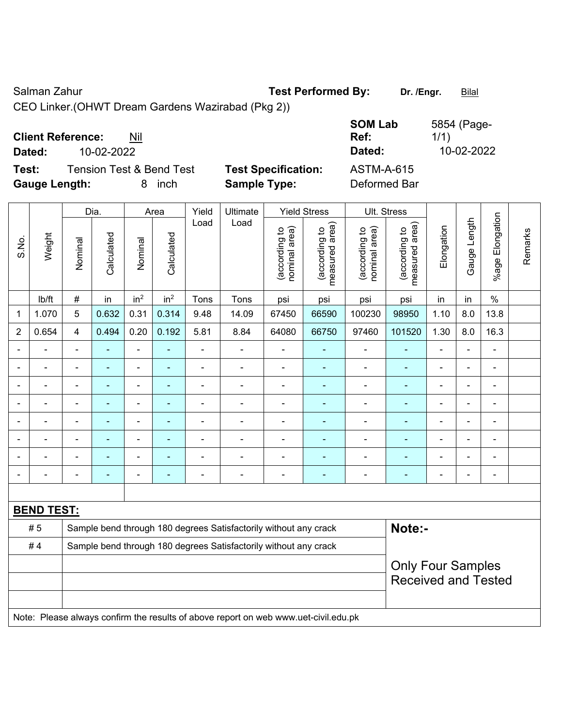Salman Zahur **Test Performed By:** Dr. /Engr. **Bilal** 

CEO Linker.(OHWT Dream Gardens Wazirabad (Pkg 2))

|                                   |                            | <b>SOM Lab</b>    | 5854 (Page- |
|-----------------------------------|----------------------------|-------------------|-------------|
| <b>Client Reference:</b><br>Nil   |                            | Ref:              | 1/1)        |
| 10-02-2022<br>Dated:              |                            | Dated:            | 10-02-2022  |
| Test:<br>Tension Test & Bend Test | <b>Test Specification:</b> | <b>ASTM-A-615</b> |             |
| <b>Gauge Length:</b><br>inch      | <b>Sample Type:</b>        | Deformed Bar      |             |

|                          |                   |                | Dia.                     |                          | Area            | Yield                                                            | Ultimate                                                                            |                                | <b>Yield Stress</b>             |                                | Ult. Stress                     |                |                          |                       |         |
|--------------------------|-------------------|----------------|--------------------------|--------------------------|-----------------|------------------------------------------------------------------|-------------------------------------------------------------------------------------|--------------------------------|---------------------------------|--------------------------------|---------------------------------|----------------|--------------------------|-----------------------|---------|
| S.No.                    | Weight            | Nominal        | Calculated               | Nominal                  | Calculated      | Load                                                             | Load                                                                                | nominal area)<br>(according to | (according to<br>measured area) | nominal area)<br>(according to | (according to<br>measured area) | Elongation     | Gauge Length             | Elongation<br>$%$ age | Remarks |
|                          | lb/ft             | $\#$           | in                       | in <sup>2</sup>          | in <sup>2</sup> | Tons                                                             | Tons                                                                                | psi                            | psi                             | psi                            | psi                             | in             | in                       | $\%$                  |         |
| 1                        | 1.070             | 5              | 0.632                    | 0.31                     | 0.314           | 9.48                                                             | 14.09                                                                               | 67450                          | 66590                           | 100230                         | 98950                           | 1.10           | 8.0                      | 13.8                  |         |
| $\overline{2}$           | 0.654             | 4              | 0.494                    | 0.20                     | 0.192           | 5.81                                                             | 8.84                                                                                | 64080                          | 66750                           | 97460                          | 101520                          | 1.30           | 8.0                      | 16.3                  |         |
| $\overline{\phantom{0}}$ | ÷                 |                | ٠                        | $\overline{\phantom{a}}$ | $\blacksquare$  | $\blacksquare$                                                   | $\overline{\phantom{a}}$                                                            | $\blacksquare$                 | $\blacksquare$                  | $\blacksquare$                 | $\blacksquare$                  | $\blacksquare$ | $\blacksquare$           | $\blacksquare$        |         |
| $\blacksquare$           | ÷                 | ä,             | $\blacksquare$           | ÷                        | $\blacksquare$  | $\blacksquare$                                                   | $\blacksquare$                                                                      | $\blacksquare$                 | $\blacksquare$                  | $\overline{\phantom{a}}$       | $\blacksquare$                  | $\blacksquare$ | ÷                        | $\blacksquare$        |         |
|                          | ÷                 |                | $\blacksquare$           | $\overline{\phantom{a}}$ | $\blacksquare$  | $\blacksquare$                                                   | $\blacksquare$                                                                      | $\overline{\phantom{a}}$       | $\blacksquare$                  | $\overline{\phantom{a}}$       | ٠                               | $\blacksquare$ | $\blacksquare$           | $\blacksquare$        |         |
|                          | L,                |                | $\blacksquare$           | $\blacksquare$           | ÷               | $\blacksquare$                                                   | $\blacksquare$                                                                      | $\blacksquare$                 | $\blacksquare$                  | $\blacksquare$                 | ÷                               |                | ÷                        | ä,                    |         |
|                          | $\blacksquare$    | $\blacksquare$ | $\blacksquare$           | $\blacksquare$           | $\blacksquare$  | ÷                                                                | ÷                                                                                   | $\blacksquare$                 | $\blacksquare$                  | $\blacksquare$                 | ۰                               |                | $\blacksquare$           | $\blacksquare$        |         |
|                          |                   |                | $\blacksquare$           | $\overline{\phantom{a}}$ | $\blacksquare$  |                                                                  |                                                                                     | $\blacksquare$                 | $\blacksquare$                  | $\blacksquare$                 | $\blacksquare$                  |                |                          | $\blacksquare$        |         |
|                          |                   |                |                          | ÷                        |                 |                                                                  |                                                                                     | Ē,                             |                                 | Ē,                             |                                 |                |                          |                       |         |
| $\overline{\phantom{0}}$ | $\blacksquare$    | $\blacksquare$ | $\overline{\phantom{0}}$ | ۰                        | $\overline{a}$  | $\blacksquare$                                                   | $\overline{\phantom{0}}$                                                            | $\blacksquare$                 | $\overline{\phantom{0}}$        | $\blacksquare$                 | $\overline{\phantom{0}}$        | $\blacksquare$ | $\overline{\phantom{0}}$ | $\blacksquare$        |         |
|                          |                   |                |                          |                          |                 |                                                                  |                                                                                     |                                |                                 |                                |                                 |                |                          |                       |         |
|                          | <b>BEND TEST:</b> |                |                          |                          |                 |                                                                  |                                                                                     |                                |                                 |                                |                                 |                |                          |                       |         |
|                          | #5                |                |                          |                          |                 |                                                                  | Sample bend through 180 degrees Satisfactorily without any crack                    |                                |                                 |                                | Note:-                          |                |                          |                       |         |
|                          | #4                |                |                          |                          |                 | Sample bend through 180 degrees Satisfactorily without any crack |                                                                                     |                                |                                 |                                |                                 |                |                          |                       |         |
|                          |                   |                |                          |                          |                 |                                                                  |                                                                                     |                                | <b>Only Four Samples</b>        |                                |                                 |                |                          |                       |         |
|                          |                   |                |                          |                          |                 |                                                                  |                                                                                     |                                |                                 |                                | <b>Received and Tested</b>      |                |                          |                       |         |
|                          |                   |                |                          |                          |                 |                                                                  | Note: Please always confirm the results of above report on web www.uet-civil.edu.pk |                                |                                 |                                |                                 |                |                          |                       |         |
|                          |                   |                |                          |                          |                 |                                                                  |                                                                                     |                                |                                 |                                |                                 |                |                          |                       |         |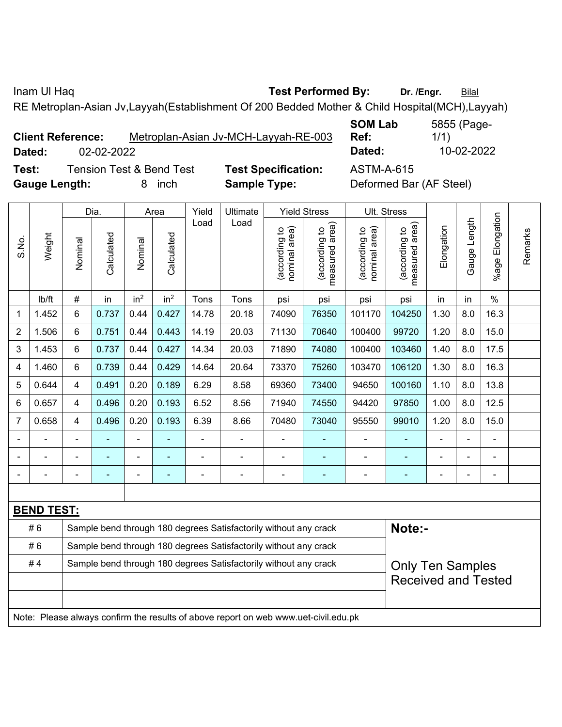Inam Ul Haq **Test Performed By:** Dr. /Engr. **Bilal** 

**SOM Lab** 

RE Metroplan-Asian Jv,Layyah(Establishment Of 200 Bedded Mother & Child Hospital(MCH),Layyah)

| <b>Client Reference:</b> |            | Metroplan-Asian Jv-MCH-Layyah-RE-003 |
|--------------------------|------------|--------------------------------------|
| Dated:                   | 02-02-2022 |                                      |

**Ref:**  1/1) **Dated:** 02-02-2022 **Dated:** 10-02-2022

5855 (Page-

**Test:** Tension Test & Bend Test **Test Specification:** ASTM-A-615 **Gauge Length:** 8 inch **Sample Type:** Deformed Bar (AF Steel)

|                |                   |                                                                                     | Dia.                     |                 | Area            | Yield<br>Ultimate                                                |                                                                  | <b>Yield Stress</b>            |                                 |                                | Ult. Stress                     |            |              |                           |         |
|----------------|-------------------|-------------------------------------------------------------------------------------|--------------------------|-----------------|-----------------|------------------------------------------------------------------|------------------------------------------------------------------|--------------------------------|---------------------------------|--------------------------------|---------------------------------|------------|--------------|---------------------------|---------|
| S.No.          | Weight            | Nominal                                                                             | Calculated               | Nominal         | Calculated      | Load                                                             | Load                                                             | nominal area)<br>(according to | (according to<br>measured area) | (according to<br>nominal area) | measured area)<br>(according to | Elongation | Gauge Length | Elongation<br>$%$ age $ $ | Remarks |
|                | lb/ft             | #                                                                                   | in                       | in <sup>2</sup> | in <sup>2</sup> | Tons                                                             | Tons                                                             | psi                            | psi                             | psi                            | psi                             | in         | in           | $\%$                      |         |
| $\mathbf{1}$   | 1.452             | 6                                                                                   | 0.737                    | 0.44            | 0.427           | 14.78                                                            | 20.18                                                            | 74090                          | 76350                           | 101170                         | 104250                          | 1.30       | 8.0          | 16.3                      |         |
| $\overline{2}$ | 1.506             | 6                                                                                   | 0.751                    | 0.44            | 0.443           | 14.19                                                            | 20.03                                                            | 71130                          | 70640                           | 100400                         | 99720                           | 1.20       | 8.0          | 15.0                      |         |
| 3              | 1.453             | 6                                                                                   | 0.737                    | 0.44            | 0.427           | 14.34                                                            | 20.03                                                            | 71890                          | 74080                           | 100400                         | 103460                          | 1.40       | 8.0          | 17.5                      |         |
| 4              | 1.460             | 6                                                                                   | 0.739                    | 0.44            | 0.429           | 14.64                                                            | 20.64                                                            | 73370                          | 75260                           | 103470                         | 106120                          | 1.30       | 8.0          | 16.3                      |         |
| 5              | 0.644             | 4                                                                                   | 0.491                    | 0.20            | 0.189           | 6.29                                                             | 8.58                                                             | 69360                          | 73400                           | 94650                          | 100160                          | 1.10       | 8.0          | 13.8                      |         |
| 6              | 0.657             | 4                                                                                   | 0.496                    | 0.20            | 0.193           | 6.52                                                             | 8.56                                                             | 71940                          | 74550                           | 94420                          | 97850                           | 1.00       | 8.0          | 12.5                      |         |
| $\overline{7}$ | 0.658             | 4                                                                                   | 0.496                    | 0.20            | 0.193           | 6.39                                                             | 8.66                                                             | 70480                          | 73040                           | 95550                          | 99010                           | 1.20       | 8.0          | 15.0                      |         |
|                |                   |                                                                                     |                          |                 |                 | L                                                                |                                                                  |                                |                                 |                                |                                 |            |              |                           |         |
|                |                   |                                                                                     | $\overline{\phantom{0}}$ | ۰               |                 |                                                                  |                                                                  | $\blacksquare$                 | $\blacksquare$                  | $\blacksquare$                 | $\overline{a}$                  |            |              | L                         |         |
|                |                   |                                                                                     |                          | $\blacksquare$  |                 |                                                                  | $\blacksquare$                                                   | Ē,                             | ÷                               |                                |                                 |            | ÷            | $\blacksquare$            |         |
|                |                   |                                                                                     |                          |                 |                 |                                                                  |                                                                  |                                |                                 |                                |                                 |            |              |                           |         |
|                | <b>BEND TEST:</b> |                                                                                     |                          |                 |                 |                                                                  |                                                                  |                                |                                 |                                |                                 |            |              |                           |         |
|                | #6                |                                                                                     |                          |                 |                 |                                                                  | Sample bend through 180 degrees Satisfactorily without any crack |                                |                                 |                                | Note:-                          |            |              |                           |         |
|                | #6                |                                                                                     |                          |                 |                 | Sample bend through 180 degrees Satisfactorily without any crack |                                                                  |                                |                                 |                                |                                 |            |              |                           |         |
|                | #4                |                                                                                     |                          |                 |                 |                                                                  | Sample bend through 180 degrees Satisfactorily without any crack |                                |                                 |                                | <b>Only Ten Samples</b>         |            |              |                           |         |
|                |                   |                                                                                     |                          |                 |                 |                                                                  |                                                                  |                                |                                 |                                | <b>Received and Tested</b>      |            |              |                           |         |
|                |                   | Note: Please always confirm the results of above report on web www.uet-civil.edu.pk |                          |                 |                 |                                                                  |                                                                  |                                |                                 |                                |                                 |            |              |                           |         |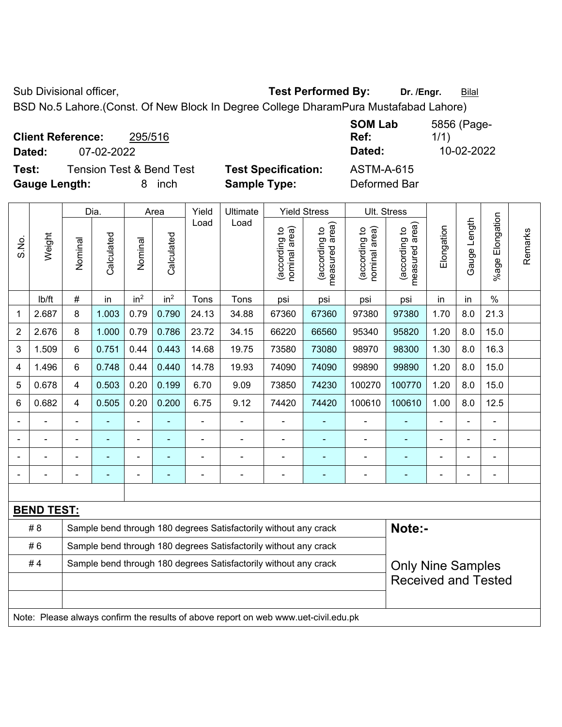Sub Divisional officer, **Test Performed By:** Dr. /Engr. **Bilal** 

BSD No.5 Lahore.(Const. Of New Block In Degree College DharamPura Mustafabad Lahore)

| <b>Client Reference:</b><br>295/516<br>07-02-2022<br>Dated:            |                                                   | <b>SOM Lab</b><br>Ref:<br>Dated:  | 5856 (Page-<br>1/1)<br>10-02-2022 |
|------------------------------------------------------------------------|---------------------------------------------------|-----------------------------------|-----------------------------------|
| Tension Test & Bend Test<br>Test:<br><b>Gauge Length:</b><br>inch<br>8 | <b>Test Specification:</b><br><b>Sample Type:</b> | <b>ASTM-A-615</b><br>Deformed Bar |                                   |

|                |                   |                                                                                     | Dia.                                                             |                 | Area            | Yield | Ultimate                                                         |                                | <b>Yield Stress</b>             |                                | Ult. Stress                     |            |              |                       |         |
|----------------|-------------------|-------------------------------------------------------------------------------------|------------------------------------------------------------------|-----------------|-----------------|-------|------------------------------------------------------------------|--------------------------------|---------------------------------|--------------------------------|---------------------------------|------------|--------------|-----------------------|---------|
| S.No.          | Weight            | Nominal                                                                             | Calculated                                                       | Nominal         | Calculated      | Load  | Load                                                             | nominal area)<br>(according to | (according to<br>measured area) | nominal area)<br>(according to | (according to<br>measured area) | Elongation | Gauge Length | Elongation<br>$%$ age | Remarks |
|                | lb/ft             | $\#$                                                                                | in                                                               | in <sup>2</sup> | in <sup>2</sup> | Tons  | Tons                                                             | psi                            | psi                             | psi                            | psi                             | in         | in           | $\frac{0}{0}$         |         |
| 1              | 2.687             | 8                                                                                   | 1.003                                                            | 0.79            | 0.790           | 24.13 | 34.88                                                            | 67360                          | 67360                           | 97380                          | 97380                           | 1.70       | 8.0          | 21.3                  |         |
| $\overline{2}$ | 2.676             | 8                                                                                   | 1.000                                                            | 0.79            | 0.786           | 23.72 | 34.15                                                            | 66220                          | 66560                           | 95340                          | 95820                           | 1.20       | 8.0          | 15.0                  |         |
| 3              | 1.509             | 6                                                                                   | 0.751                                                            | 0.44            | 0.443           | 14.68 | 19.75                                                            | 73580                          | 73080                           | 98970                          | 98300                           | 1.30       | 8.0          | 16.3                  |         |
| $\overline{4}$ | 1.496             | 6                                                                                   | 0.748                                                            | 0.44            | 0.440           | 14.78 | 19.93                                                            | 74090                          | 74090                           | 99890                          | 99890                           | 1.20       | 8.0          | 15.0                  |         |
| 5              | 0.678             | $\overline{4}$                                                                      | 0.503                                                            | 0.20            | 0.199           | 6.70  | 9.09                                                             | 73850                          | 74230                           | 100270                         | 100770                          | 1.20       | 8.0          | 15.0                  |         |
| 6              | 0.682             | $\overline{4}$                                                                      | 0.505                                                            | 0.20            | 0.200           | 6.75  | 9.12                                                             | 74420                          | 74420                           | 100610                         | 100610                          | 1.00       | 8.0          | 12.5                  |         |
|                |                   | ä,                                                                                  | $\blacksquare$                                                   | $\blacksquare$  |                 |       |                                                                  | ÷                              | $\blacksquare$                  | $\blacksquare$                 |                                 | ä,         | ÷            | L,                    |         |
|                |                   |                                                                                     |                                                                  | ÷               |                 |       |                                                                  |                                | ۰                               | $\blacksquare$                 |                                 |            | ÷            | ä,                    |         |
|                |                   |                                                                                     |                                                                  |                 |                 |       |                                                                  |                                | $\blacksquare$                  | $\blacksquare$                 |                                 |            |              | $\overline{a}$        |         |
|                |                   |                                                                                     |                                                                  |                 |                 |       |                                                                  | $\overline{\phantom{0}}$       | ä,                              |                                |                                 |            | ÷            | L,                    |         |
|                |                   |                                                                                     |                                                                  |                 |                 |       |                                                                  |                                |                                 |                                |                                 |            |              |                       |         |
|                | <b>BEND TEST:</b> |                                                                                     |                                                                  |                 |                 |       |                                                                  |                                |                                 |                                |                                 |            |              |                       |         |
|                | # 8               |                                                                                     |                                                                  |                 |                 |       | Sample bend through 180 degrees Satisfactorily without any crack |                                |                                 |                                | Note:-                          |            |              |                       |         |
|                | #6                |                                                                                     | Sample bend through 180 degrees Satisfactorily without any crack |                 |                 |       |                                                                  |                                |                                 |                                |                                 |            |              |                       |         |
|                | #4                |                                                                                     |                                                                  |                 |                 |       | Sample bend through 180 degrees Satisfactorily without any crack |                                |                                 |                                | <b>Only Nine Samples</b>        |            |              |                       |         |
|                |                   |                                                                                     |                                                                  |                 |                 |       |                                                                  |                                |                                 |                                | <b>Received and Tested</b>      |            |              |                       |         |
|                |                   |                                                                                     |                                                                  |                 |                 |       |                                                                  |                                |                                 |                                |                                 |            |              |                       |         |
|                |                   | Note: Please always confirm the results of above report on web www.uet-civil.edu.pk |                                                                  |                 |                 |       |                                                                  |                                |                                 |                                |                                 |            |              |                       |         |